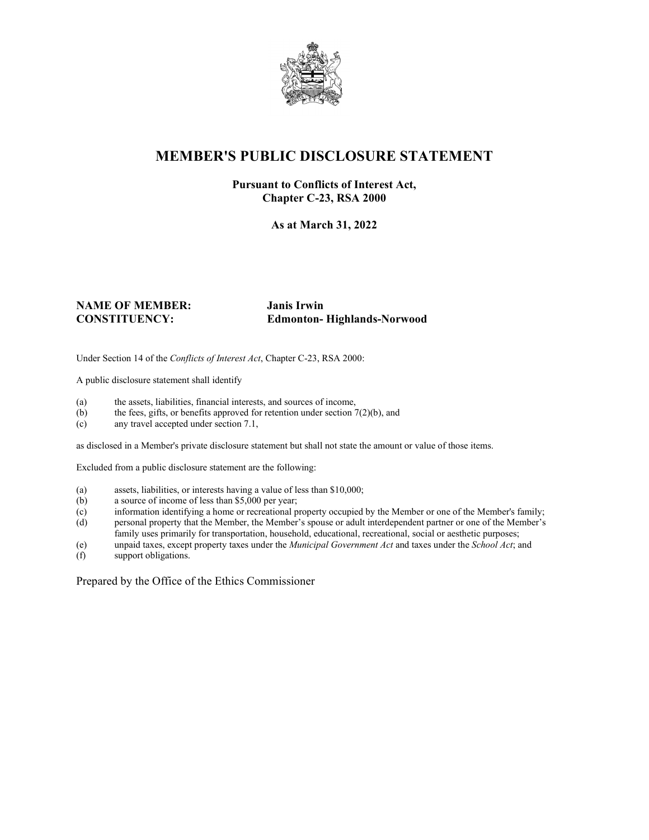

## **MEMBER'S PUBLIC DISCLOSURE STATEMENT**

## **Pursuant to Conflicts of Interest Act, Chapter C-23, RSA 2000**

**As at March 31, 2022**

## **NAME OF MEMBER: Janis Irwin**

**CONSTITUENCY: Edmonton- Highlands-Norwood**

Under Section 14 of the *Conflicts of Interest Act*, Chapter C-23, RSA 2000:

A public disclosure statement shall identify

- (a) the assets, liabilities, financial interests, and sources of income,  $(b)$  the fees, gifts, or benefits approved for retention under section 7
- the fees, gifts, or benefits approved for retention under section  $7(2)(b)$ , and
- (c) any travel accepted under section 7.1,

as disclosed in a Member's private disclosure statement but shall not state the amount or value of those items.

Excluded from a public disclosure statement are the following:

- (a) assets, liabilities, or interests having a value of less than \$10,000;
- (b) a source of income of less than \$5,000 per year;
- (c) information identifying a home or recreational property occupied by the Member or one of the Member's family;
- (d) personal property that the Member, the Member's spouse or adult interdependent partner or one of the Member's family uses primarily for transportation, household, educational, recreational, social or aesthetic purposes;
- (e) unpaid taxes, except property taxes under the *Municipal Government Act* and taxes under the *School Act*; and
- (f) support obligations.

Prepared by the Office of the Ethics Commissioner